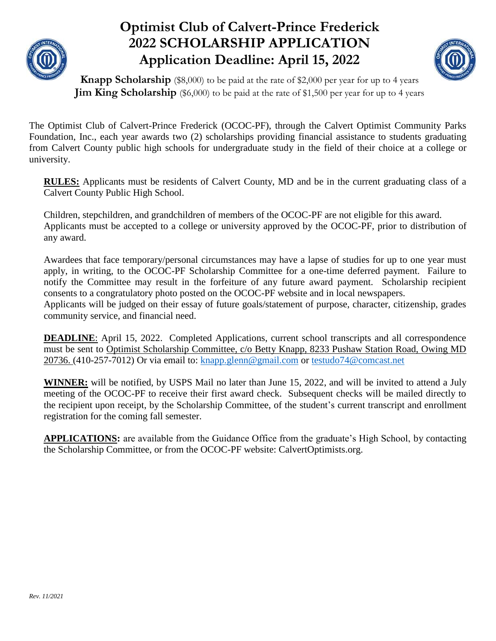

### **Optimist Club of Calvert-Prince Frederick 2022 SCHOLARSHIP APPLICATION Application Deadline: April 15, 2022**



**Knapp Scholarship** (\$8,000) to be paid at the rate of \$2,000 per year for up to 4 years **Jim King Scholarship** (\$6,000) to be paid at the rate of \$1,500 per year for up to 4 years

The Optimist Club of Calvert-Prince Frederick (OCOC-PF), through the Calvert Optimist Community Parks Foundation, Inc., each year awards two (2) scholarships providing financial assistance to students graduating from Calvert County public high schools for undergraduate study in the field of their choice at a college or university.

**RULES:** Applicants must be residents of Calvert County, MD and be in the current graduating class of a Calvert County Public High School.

Children, stepchildren, and grandchildren of members of the OCOC-PF are not eligible for this award. Applicants must be accepted to a college or university approved by the OCOC-PF, prior to distribution of any award.

Awardees that face temporary/personal circumstances may have a lapse of studies for up to one year must apply, in writing, to the OCOC-PF Scholarship Committee for a one-time deferred payment. Failure to notify the Committee may result in the forfeiture of any future award payment. Scholarship recipient consents to a congratulatory photo posted on the OCOC-PF website and in local newspapers. Applicants will be judged on their essay of future goals/statement of purpose, character, citizenship, grades community service, and financial need.

**DEADLINE**: April 15, 2022. Completed Applications, current school transcripts and all correspondence must be sent to Optimist Scholarship Committee, c/o Betty Knapp, 8233 Pushaw Station Road, Owing MD 20736. (410-257-7012) Or via email to: [knapp.glenn@gmail.com](about:blank) or [testudo74@comcast.net](about:blank) 

**WINNER:** will be notified, by USPS Mail no later than June 15, 2022, and will be invited to attend a July meeting of the OCOC-PF to receive their first award check. Subsequent checks will be mailed directly to the recipient upon receipt, by the Scholarship Committee, of the student's current transcript and enrollment registration for the coming fall semester.

**APPLICATIONS:** are available from the Guidance Office from the graduate's High School, by contacting the Scholarship Committee, or from the OCOC-PF website: CalvertOptimists.org.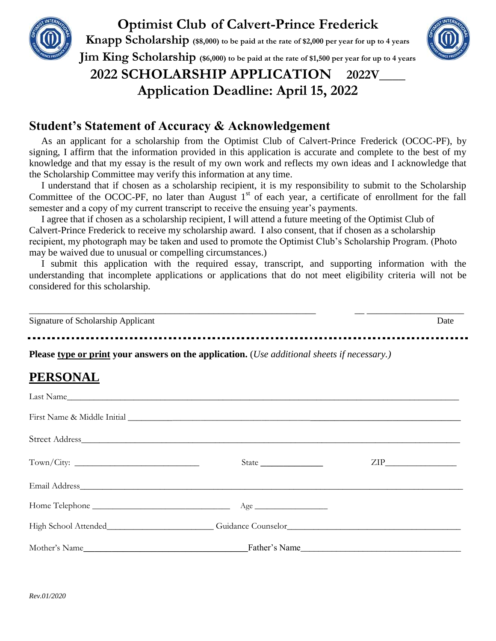

## **Optimist Club of Calvert-Prince Frederick**

**Knapp Scholarship (\$8,000) to be paid at the rate of \$2,000 per year for up to 4 years Jim King Scholarship (\$6,000) to be paid at the rate of \$1,500 per year for up to 4 years**

#### **2022 SCHOLARSHIP APPLICATION 2022V\_\_\_\_ Application Deadline: April 15, 2022**

#### **Student's Statement of Accuracy & Acknowledgement**

 As an applicant for a scholarship from the Optimist Club of Calvert-Prince Frederick (OCOC-PF), by signing, I affirm that the information provided in this application is accurate and complete to the best of my knowledge and that my essay is the result of my own work and reflects my own ideas and I acknowledge that the Scholarship Committee may verify this information at any time.

 I understand that if chosen as a scholarship recipient, it is my responsibility to submit to the Scholarship Committee of the OCOC-PF, no later than August  $1<sup>st</sup>$  of each year, a certificate of enrollment for the fall semester and a copy of my current transcript to receive the ensuing year's payments.

 I agree that if chosen as a scholarship recipient, I will attend a future meeting of the Optimist Club of Calvert-Prince Frederick to receive my scholarship award. I also consent, that if chosen as a scholarship recipient, my photograph may be taken and used to promote the Optimist Club's Scholarship Program. (Photo may be waived due to unusual or compelling circumstances.)

 I submit this application with the required essay, transcript, and supporting information with the understanding that incomplete applications or applications that do not meet eligibility criteria will not be considered for this scholarship.

| Signature of Scholarship Applicant | )ate |
|------------------------------------|------|

**Please type or print your answers on the application.** (*Use additional sheets if necessary.)*

#### **PERSONAL**

| Last Name                                                                                                                                                                                                                      |  |
|--------------------------------------------------------------------------------------------------------------------------------------------------------------------------------------------------------------------------------|--|
| First Name & Middle Initial Contract Contract of the Middle Initial Contract of the Middle Initial Contract of the Middle Initial Contract of the Middle Initial Contract of the Middle Initial Contract of the Middle Initial |  |
|                                                                                                                                                                                                                                |  |
|                                                                                                                                                                                                                                |  |
|                                                                                                                                                                                                                                |  |
|                                                                                                                                                                                                                                |  |
|                                                                                                                                                                                                                                |  |
|                                                                                                                                                                                                                                |  |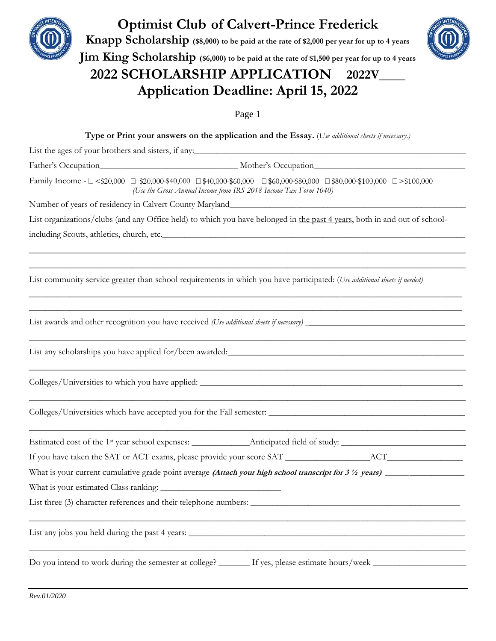

## **Optimist Club of Calvert-Prince Frederick**

**Knapp Scholarship (\$8,000) to be paid at the rate of \$2,000 per year for up to 4 years**



**Jim King Scholarship (\$6,000) to be paid at the rate of \$1,500 per year for up to 4 years**

#### **2022 SCHOLARSHIP APPLICATION 2022V\_\_\_\_ Application Deadline: April 15, 2022**

Page 1

**Type or Print your answers on the application and the Essay.** (*Use additional sheets if necessary.)* List the ages of your brothers and sisters, if any: Father's Occupation Father's Occupation Family Income -  $\Box$  <\$20,000  $\Box$  \$20,000-\$40,000  $\Box$  \$40,000-\$60,000  $\Box$  \$60,000-\$80,000  $\Box$  \$80,000-\$100,000  $\Box$  >\$100,000  *(Use the Gross Annual Income from IRS 2018 Income Tax Form 1040)* Number of years of residency in Calvert County Maryland\_ List organizations/clubs (and any Office held) to which you have belonged in the past 4 years, both in and out of schoolincluding Scouts, athletics, church, etc.\_\_\_\_\_\_\_\_\_\_\_\_\_\_\_\_\_\_\_\_\_\_\_\_\_\_\_\_\_\_\_\_\_\_\_\_\_\_\_\_\_\_\_\_\_\_\_\_\_\_\_\_\_\_\_\_\_\_\_\_\_\_\_\_\_\_\_\_ \_\_\_\_\_\_\_\_\_\_\_\_\_\_\_\_\_\_\_\_\_\_\_\_\_\_\_\_\_\_\_\_\_\_\_\_\_\_\_\_\_\_\_\_\_\_\_\_\_\_\_\_\_\_\_\_\_\_\_\_\_\_\_\_\_\_\_\_\_\_\_\_\_\_\_\_\_\_\_\_\_\_\_\_\_\_\_\_\_\_\_\_\_\_\_\_\_\_  $\_$  ,  $\_$  ,  $\_$  ,  $\_$  ,  $\_$  ,  $\_$  ,  $\_$  ,  $\_$  ,  $\_$  ,  $\_$  ,  $\_$  ,  $\_$  ,  $\_$  ,  $\_$  ,  $\_$  ,  $\_$  ,  $\_$  ,  $\_$  ,  $\_$  ,  $\_$  ,  $\_$  ,  $\_$  ,  $\_$  ,  $\_$  ,  $\_$  ,  $\_$  ,  $\_$  ,  $\_$  ,  $\_$  ,  $\_$  ,  $\_$  ,  $\_$  ,  $\_$  ,  $\_$  ,  $\_$  ,  $\_$  ,  $\_$  , List community service greater than school requirements in which you have participated: (*Use additional sheets if needed)* \_\_\_\_\_\_\_\_\_\_\_\_\_\_\_\_\_\_\_\_\_\_\_\_\_\_\_\_\_\_\_\_\_\_\_\_\_\_\_\_\_\_\_\_\_\_\_\_\_\_\_\_\_\_\_\_\_\_\_\_\_\_\_\_\_\_\_\_\_\_\_\_\_\_\_\_\_\_\_\_\_\_\_\_\_\_\_\_\_\_\_\_\_\_\_\_\_\_\_\_\_\_\_\_\_\_\_ \_\_\_\_\_\_\_\_\_\_\_\_\_\_\_\_\_\_\_\_\_\_\_\_\_\_\_\_\_\_\_\_\_\_\_\_\_\_\_\_\_\_\_\_\_\_\_\_\_\_\_\_\_\_\_\_\_\_\_\_\_\_\_\_\_\_\_\_\_\_\_\_\_\_\_\_\_\_\_\_\_\_\_\_\_\_\_\_\_\_\_\_\_\_\_\_\_\_\_\_\_\_\_\_\_\_\_ List awards and other recognition you have received *(Use additional sheets if necessary) \_*\_\_\_\_\_\_\_\_\_\_\_\_\_\_\_\_\_\_\_\_\_\_\_\_\_\_\_\_\_\_\_\_\_\_\_ \_\_\_\_\_\_\_\_\_\_\_\_\_\_\_\_\_\_\_\_\_\_\_\_\_\_\_\_\_\_\_\_\_\_\_\_\_\_\_\_\_\_\_\_\_\_\_\_\_\_\_\_\_\_\_\_\_\_\_\_\_\_\_\_\_\_\_\_\_\_\_\_\_\_\_\_\_\_\_\_\_\_\_\_\_\_\_\_\_\_\_\_\_\_\_\_\_\_ List any scholarships you have applied for/been awarded:\_\_\_\_\_\_\_\_\_\_\_\_\_\_\_\_\_\_\_\_\_\_\_\_\_ \_\_\_\_\_\_\_\_\_\_\_\_\_\_\_\_\_\_\_\_\_\_\_\_\_\_\_\_\_\_\_\_\_\_\_\_\_\_\_\_\_\_\_\_\_\_\_\_\_\_\_\_\_\_\_\_\_\_\_\_\_\_\_\_\_\_\_\_\_\_\_\_\_\_\_\_\_\_\_\_\_\_\_\_\_\_\_\_\_\_\_\_\_\_\_\_\_\_ Colleges/Universities to which you have applied: \_\_\_\_\_\_\_\_\_\_\_\_\_\_\_\_\_\_\_\_\_\_\_\_\_\_\_\_\_\_\_ \_\_\_\_\_\_\_\_\_\_\_\_\_\_\_\_\_\_\_\_\_\_\_\_\_\_\_\_\_\_\_\_\_\_\_\_\_\_\_\_\_\_\_\_\_\_\_\_\_\_\_\_\_\_\_\_\_\_\_\_\_\_\_\_\_\_\_\_\_\_\_\_\_\_\_\_\_\_\_\_\_\_\_\_\_\_\_\_\_\_\_\_\_\_\_\_\_\_ Colleges/Universities which have accepted you for the Fall semester: \_\_\_\_\_\_\_\_\_\_\_\_\_\_\_\_\_\_\_\_\_\_\_\_\_\_\_\_\_\_\_\_\_\_\_\_\_\_\_\_\_\_\_\_ \_\_\_\_\_\_\_\_\_\_\_\_\_\_\_\_\_\_\_\_\_\_\_\_\_\_\_\_\_\_\_\_\_\_\_\_\_\_\_\_\_\_\_\_\_\_\_\_\_\_\_\_\_\_\_\_\_\_\_\_\_\_\_\_\_\_\_\_\_\_\_\_\_\_\_\_\_\_\_\_\_\_\_\_\_\_\_\_\_\_\_\_\_\_\_\_\_\_ Estimated cost of the 1st year school expenses: \_\_\_\_\_\_\_\_\_\_\_\_\_Anticipated field of study: \_\_\_\_\_\_\_\_\_\_\_\_\_\_\_\_\_\_\_\_\_\_\_\_\_\_\_\_ If you have taken the SAT or ACT exams, please provide your score SAT \_\_\_\_\_\_\_\_\_\_\_\_\_\_\_\_\_\_\_ACT\_\_\_\_\_\_\_\_\_\_\_\_\_\_\_\_\_ What is your current cumulative grade point average **(Attach your high school transcript for 3 ½ years) \_\_\_\_\_\_**\_\_\_\_\_\_\_\_\_\_\_\_\_\_\_ What is your estimated Class ranking: List three (3) character references and their telephone numbers: \_\_\_\_\_\_\_\_\_\_\_\_\_\_\_\_\_\_\_\_\_\_\_\_\_\_\_\_\_\_\_\_\_\_\_\_\_\_\_\_\_\_\_\_\_\_\_ \_\_\_\_\_\_\_\_\_\_\_\_\_\_\_\_\_\_\_\_\_\_\_\_\_\_\_\_\_\_\_\_\_\_\_\_\_\_\_\_\_\_\_\_\_\_\_\_\_\_\_\_\_\_\_\_\_\_\_\_\_\_\_\_\_\_\_\_\_\_\_\_\_\_\_\_\_\_\_\_\_\_\_\_\_\_\_\_\_\_\_\_\_\_\_\_\_\_ List any jobs you held during the past 4 years:  $\Box$  $\_$  ,  $\_$  ,  $\_$  ,  $\_$  ,  $\_$  ,  $\_$  ,  $\_$  ,  $\_$  ,  $\_$  ,  $\_$  ,  $\_$  ,  $\_$  ,  $\_$  ,  $\_$  ,  $\_$  ,  $\_$  ,  $\_$  ,  $\_$  ,  $\_$  ,  $\_$  ,  $\_$  ,  $\_$  ,  $\_$  ,  $\_$  ,  $\_$  ,  $\_$  ,  $\_$  ,  $\_$  ,  $\_$  ,  $\_$  ,  $\_$  ,  $\_$  ,  $\_$  ,  $\_$  ,  $\_$  ,  $\_$  ,  $\_$  , Do you intend to work during the semester at college?  $\qquad$  If yes, please estimate hours/week  $\qquad$